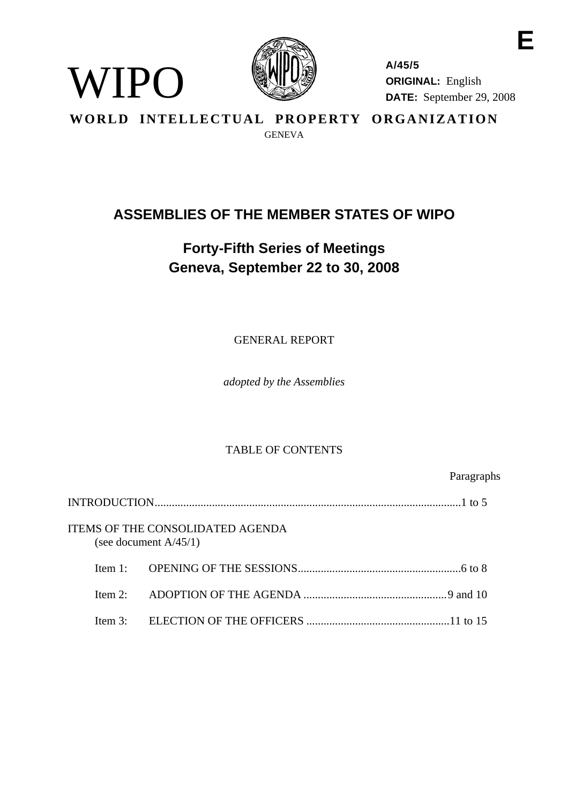

WIPO

**A/45/5 ORIGINAL:** English **DATE:** September 29, 2008

**E** 

**WORLD INTELLECTUAL PROPERTY ORGANIZATION GENEVA** 

# **ASSEMBLIES OF THE MEMBER STATES OF WIPO**

# **Forty-Fifth Series of Meetings Geneva, September 22 to 30, 2008**

GENERAL REPORT

*adopted by the Assemblies* 

## TABLE OF CONTENTS

Paragraphs

|            | ITEMS OF THE CONSOLIDATED AGENDA<br>(see document $A/45/1$ ) |
|------------|--------------------------------------------------------------|
| Item $1$ . |                                                              |
|            |                                                              |
| Item $3$ : |                                                              |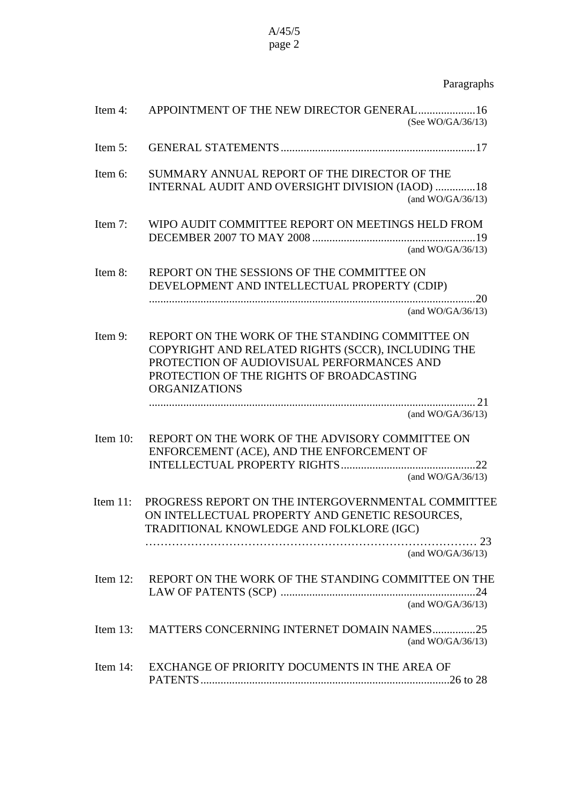## Paragraphs

| Item 4:     | APPOINTMENT OF THE NEW DIRECTOR GENERAL 16<br>(See WO/GA/36/13)                                                                                                                                                         |
|-------------|-------------------------------------------------------------------------------------------------------------------------------------------------------------------------------------------------------------------------|
| Item 5:     |                                                                                                                                                                                                                         |
| Item 6:     | SUMMARY ANNUAL REPORT OF THE DIRECTOR OF THE                                                                                                                                                                            |
|             | INTERNAL AUDIT AND OVERSIGHT DIVISION (IAOD) 18<br>(and $WO/GA/36/13$ )                                                                                                                                                 |
| Item 7:     | WIPO AUDIT COMMITTEE REPORT ON MEETINGS HELD FROM                                                                                                                                                                       |
|             | (and $WO/GA/36/13$ )                                                                                                                                                                                                    |
| Item 8:     | REPORT ON THE SESSIONS OF THE COMMITTEE ON<br>DEVELOPMENT AND INTELLECTUAL PROPERTY (CDIP)                                                                                                                              |
|             | (and WO/GA/36/13)                                                                                                                                                                                                       |
| Item 9:     | REPORT ON THE WORK OF THE STANDING COMMITTEE ON<br>COPYRIGHT AND RELATED RIGHTS (SCCR), INCLUDING THE<br>PROTECTION OF AUDIOVISUAL PERFORMANCES AND<br>PROTECTION OF THE RIGHTS OF BROADCASTING<br><b>ORGANIZATIONS</b> |
|             | (and WO/GA/36/13)                                                                                                                                                                                                       |
| Item 10:    | REPORT ON THE WORK OF THE ADVISORY COMMITTEE ON<br>ENFORCEMENT (ACE), AND THE ENFORCEMENT OF                                                                                                                            |
|             | 22<br>(and $WO/GA/36/13$ )                                                                                                                                                                                              |
| Item $11$ : | PROGRESS REPORT ON THE INTERGOVERNMENTAL COMMITTEE<br>ON INTELLECTUAL PROPERTY AND GENETIC RESOURCES,<br>TRADITIONAL KNOWLEDGE AND FOLKLORE (IGC)                                                                       |
|             | (and $WO/GA/36/13$ )                                                                                                                                                                                                    |
| Item $12$ : | REPORT ON THE WORK OF THE STANDING COMMITTEE ON THE<br>(and $WO/GA/36/13$ )                                                                                                                                             |
| Item $13$ : | MATTERS CONCERNING INTERNET DOMAIN NAMES25<br>(and $WO/GA/36/13$ )                                                                                                                                                      |
| Item $14$ : | EXCHANGE OF PRIORITY DOCUMENTS IN THE AREA OF                                                                                                                                                                           |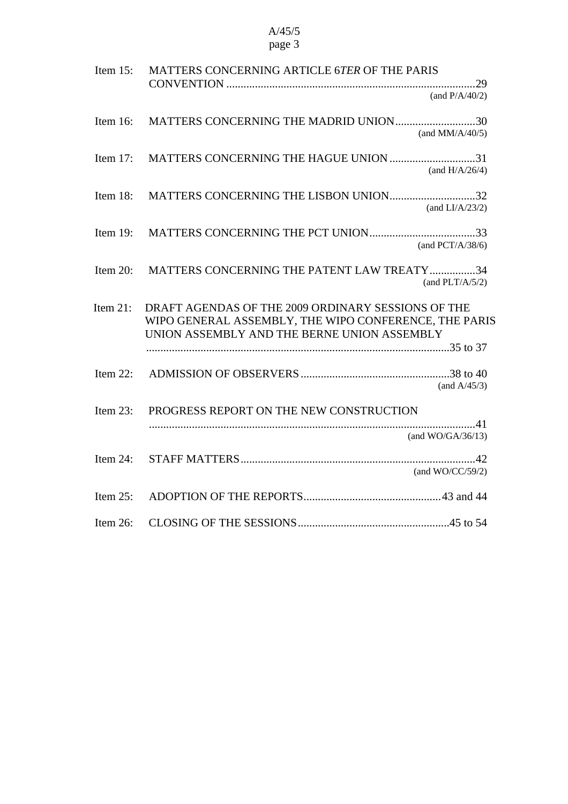| Item $15$ :<br>MATTERS CONCERNING ARTICLE 6TER OF THE PARIS<br>(and $P/A/40/2$ )                                                                                          |  |
|---------------------------------------------------------------------------------------------------------------------------------------------------------------------------|--|
| Item $16$ :<br>MATTERS CONCERNING THE MADRID UNION30<br>(and $MM/A/40/5$ )                                                                                                |  |
| Item $17$ :<br>MATTERS CONCERNING THE HAGUE UNION 31<br>(and $H/A/26/4$ )                                                                                                 |  |
| Item $18$ :<br>MATTERS CONCERNING THE LISBON UNION32<br>(and $LI/A/23/2$ )                                                                                                |  |
| Item $19$ :<br>(and PCT/A/38/6)                                                                                                                                           |  |
| MATTERS CONCERNING THE PATENT LAW TREATY 34<br>Item $20$ :<br>(and $PLT/A/5/2$ )                                                                                          |  |
| Item $21$ :<br>DRAFT AGENDAS OF THE 2009 ORDINARY SESSIONS OF THE<br>WIPO GENERAL ASSEMBLY, THE WIPO CONFERENCE, THE PARIS<br>UNION ASSEMBLY AND THE BERNE UNION ASSEMBLY |  |
| Item $22$ :<br>(and $A/45/3$ )                                                                                                                                            |  |
| Item $23$ :<br>PROGRESS REPORT ON THE NEW CONSTRUCTION<br>(and $WO/GA/36/13$ )                                                                                            |  |
| Item $24$ :<br>(and $WO/CC/59/2$ )                                                                                                                                        |  |
| Item $25$ :                                                                                                                                                               |  |
| Item $26$ :                                                                                                                                                               |  |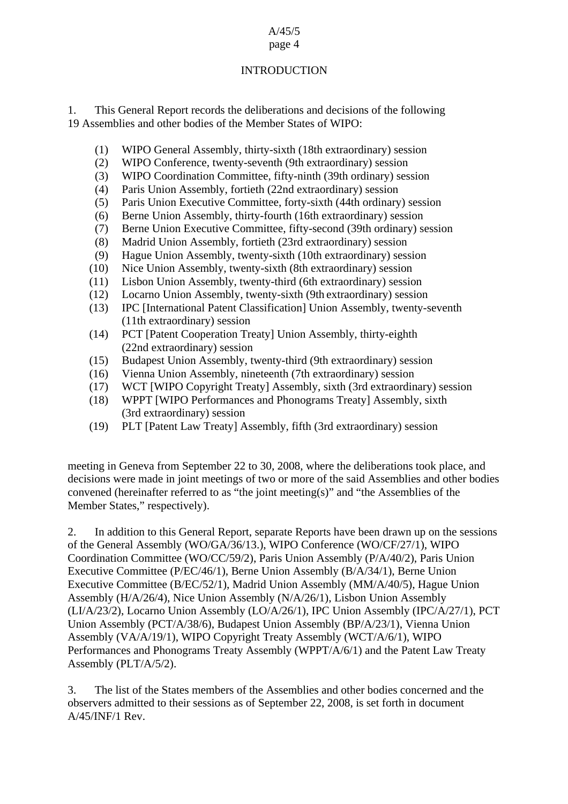## A/45/5

## page 4

## INTRODUCTION

1. This General Report records the deliberations and decisions of the following 19 Assemblies and other bodies of the Member States of WIPO:

- (1) WIPO General Assembly, thirty-sixth (18th extraordinary) session
- (2) WIPO Conference, twenty-seventh (9th extraordinary) session
- (3) WIPO Coordination Committee, fifty-ninth (39th ordinary) session
- (4) Paris Union Assembly, fortieth (22nd extraordinary) session
- (5) Paris Union Executive Committee, forty-sixth (44th ordinary) session
- (6) Berne Union Assembly, thirty-fourth (16th extraordinary) session
- (7) Berne Union Executive Committee, fifty-second (39th ordinary) session
- (8) Madrid Union Assembly, fortieth (23rd extraordinary) session
- (9) Hague Union Assembly, twenty-sixth (10th extraordinary) session
- (10) Nice Union Assembly, twenty-sixth (8th extraordinary) session
- (11) Lisbon Union Assembly, twenty-third (6th extraordinary) session
- (12) Locarno Union Assembly, twenty-sixth (9th extraordinary) session
- (13) IPC [International Patent Classification] Union Assembly, twenty-seventh (11th extraordinary) session
- (14) PCT [Patent Cooperation Treaty] Union Assembly, thirty-eighth (22nd extraordinary) session
- (15) Budapest Union Assembly, twenty-third (9th extraordinary) session
- (16) Vienna Union Assembly, nineteenth (7th extraordinary) session
- (17) WCT [WIPO Copyright Treaty] Assembly, sixth (3rd extraordinary) session
- (18) WPPT [WIPO Performances and Phonograms Treaty] Assembly, sixth (3rd extraordinary) session
- (19) PLT [Patent Law Treaty] Assembly, fifth (3rd extraordinary) session

meeting in Geneva from September 22 to 30, 2008, where the deliberations took place, and decisions were made in joint meetings of two or more of the said Assemblies and other bodies convened (hereinafter referred to as "the joint meeting(s)" and "the Assemblies of the Member States," respectively).

2. In addition to this General Report, separate Reports have been drawn up on the sessions of the General Assembly (WO/GA/36/13.), WIPO Conference (WO/CF/27/1), WIPO Coordination Committee (WO/CC/59/2), Paris Union Assembly (P/A/40/2), Paris Union Executive Committee (P/EC/46/1), Berne Union Assembly (B/A/34/1), Berne Union Executive Committee (B/EC/52/1), Madrid Union Assembly (MM/A/40/5), Hague Union Assembly (H/A/26/4), Nice Union Assembly (N/A/26/1), Lisbon Union Assembly (LI/A/23/2), Locarno Union Assembly (LO/A/26/1), IPC Union Assembly (IPC/A/27/1), PCT Union Assembly (PCT/A/38/6), Budapest Union Assembly (BP/A/23/1), Vienna Union Assembly (VA/A/19/1), WIPO Copyright Treaty Assembly (WCT/A/6/1), WIPO Performances and Phonograms Treaty Assembly (WPPT/A/6/1) and the Patent Law Treaty Assembly (PLT/A/5/2).

3. The list of the States members of the Assemblies and other bodies concerned and the observers admitted to their sessions as of September 22, 2008, is set forth in document A/45/INF/1 Rev.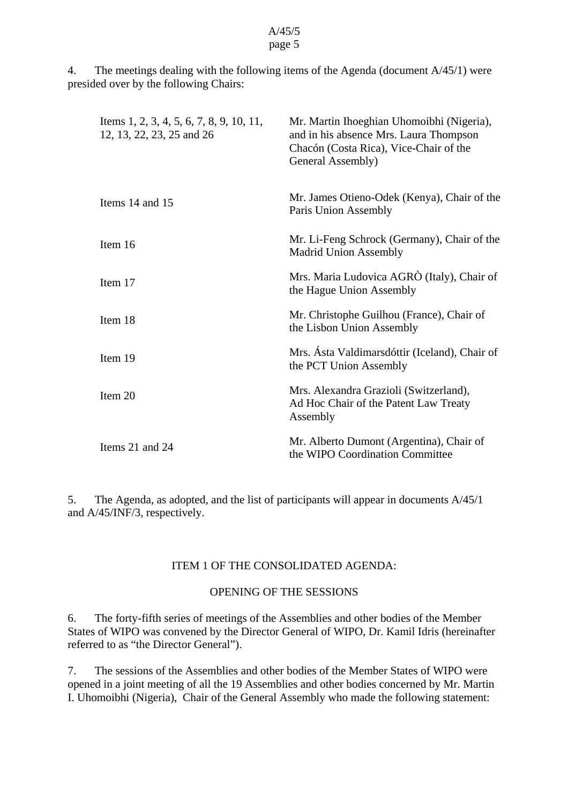4. The meetings dealing with the following items of the Agenda (document A/45/1) were presided over by the following Chairs:

| Items 1, 2, 3, 4, 5, 6, 7, 8, 9, 10, 11,<br>12, 13, 22, 23, 25 and 26 | Mr. Martin Ihoeghian Uhomoibhi (Nigeria),<br>and in his absence Mrs. Laura Thompson<br>Chacón (Costa Rica), Vice-Chair of the<br>General Assembly) |
|-----------------------------------------------------------------------|----------------------------------------------------------------------------------------------------------------------------------------------------|
| Items 14 and 15                                                       | Mr. James Otieno-Odek (Kenya), Chair of the<br>Paris Union Assembly                                                                                |
| Item 16                                                               | Mr. Li-Feng Schrock (Germany), Chair of the<br><b>Madrid Union Assembly</b>                                                                        |
| Item 17                                                               | Mrs. Maria Ludovica AGRÒ (Italy), Chair of<br>the Hague Union Assembly                                                                             |
| Item 18                                                               | Mr. Christophe Guilhou (France), Chair of<br>the Lisbon Union Assembly                                                                             |
| Item 19                                                               | Mrs. Ásta Valdimarsdóttir (Iceland), Chair of<br>the PCT Union Assembly                                                                            |
| Item 20                                                               | Mrs. Alexandra Grazioli (Switzerland),<br>Ad Hoc Chair of the Patent Law Treaty<br>Assembly                                                        |
| Items 21 and 24                                                       | Mr. Alberto Dumont (Argentina), Chair of<br>the WIPO Coordination Committee                                                                        |

5. The Agenda, as adopted, and the list of participants will appear in documents A/45/1 and A/45/INF/3, respectively.

#### ITEM 1 OF THE CONSOLIDATED AGENDA:

## OPENING OF THE SESSIONS

6. The forty-fifth series of meetings of the Assemblies and other bodies of the Member States of WIPO was convened by the Director General of WIPO, Dr. Kamil Idris (hereinafter referred to as "the Director General").

7. The sessions of the Assemblies and other bodies of the Member States of WIPO were opened in a joint meeting of all the 19 Assemblies and other bodies concerned by Mr. Martin I. Uhomoibhi (Nigeria), Chair of the General Assembly who made the following statement: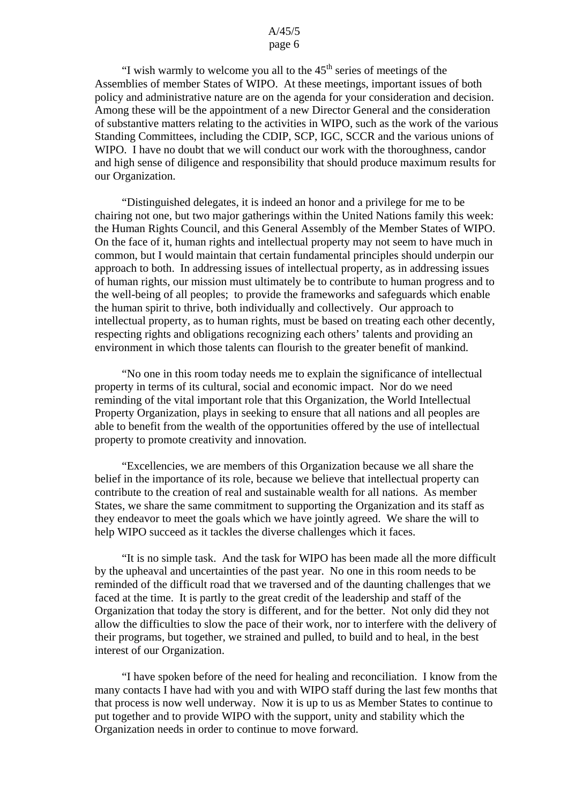"I wish warmly to welcome you all to the  $45<sup>th</sup>$  series of meetings of the Assemblies of member States of WIPO. At these meetings, important issues of both policy and administrative nature are on the agenda for your consideration and decision. Among these will be the appointment of a new Director General and the consideration of substantive matters relating to the activities in WIPO, such as the work of the various Standing Committees, including the CDIP, SCP, IGC, SCCR and the various unions of WIPO. I have no doubt that we will conduct our work with the thoroughness, candor and high sense of diligence and responsibility that should produce maximum results for our Organization.

 "Distinguished delegates, it is indeed an honor and a privilege for me to be chairing not one, but two major gatherings within the United Nations family this week: the Human Rights Council, and this General Assembly of the Member States of WIPO. On the face of it, human rights and intellectual property may not seem to have much in common, but I would maintain that certain fundamental principles should underpin our approach to both. In addressing issues of intellectual property, as in addressing issues of human rights, our mission must ultimately be to contribute to human progress and to the well-being of all peoples; to provide the frameworks and safeguards which enable the human spirit to thrive, both individually and collectively. Our approach to intellectual property, as to human rights, must be based on treating each other decently, respecting rights and obligations recognizing each others' talents and providing an environment in which those talents can flourish to the greater benefit of mankind.

 "No one in this room today needs me to explain the significance of intellectual property in terms of its cultural, social and economic impact. Nor do we need reminding of the vital important role that this Organization, the World Intellectual Property Organization, plays in seeking to ensure that all nations and all peoples are able to benefit from the wealth of the opportunities offered by the use of intellectual property to promote creativity and innovation.

 "Excellencies, we are members of this Organization because we all share the belief in the importance of its role, because we believe that intellectual property can contribute to the creation of real and sustainable wealth for all nations. As member States, we share the same commitment to supporting the Organization and its staff as they endeavor to meet the goals which we have jointly agreed. We share the will to help WIPO succeed as it tackles the diverse challenges which it faces.

 "It is no simple task. And the task for WIPO has been made all the more difficult by the upheaval and uncertainties of the past year. No one in this room needs to be reminded of the difficult road that we traversed and of the daunting challenges that we faced at the time. It is partly to the great credit of the leadership and staff of the Organization that today the story is different, and for the better. Not only did they not allow the difficulties to slow the pace of their work, nor to interfere with the delivery of their programs, but together, we strained and pulled, to build and to heal, in the best interest of our Organization.

 "I have spoken before of the need for healing and reconciliation. I know from the many contacts I have had with you and with WIPO staff during the last few months that that process is now well underway. Now it is up to us as Member States to continue to put together and to provide WIPO with the support, unity and stability which the Organization needs in order to continue to move forward.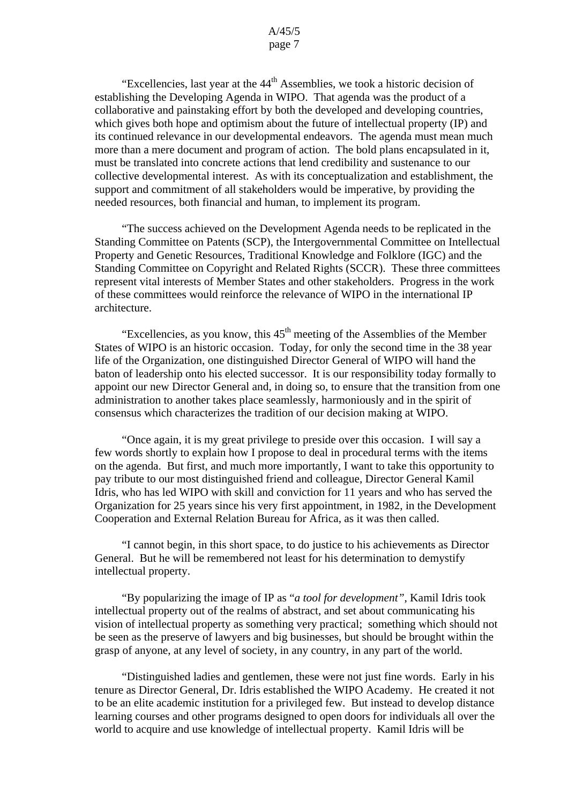"Excellencies, last year at the  $44<sup>th</sup>$  Assemblies, we took a historic decision of establishing the Developing Agenda in WIPO. That agenda was the product of a collaborative and painstaking effort by both the developed and developing countries, which gives both hope and optimism about the future of intellectual property (IP) and its continued relevance in our developmental endeavors. The agenda must mean much more than a mere document and program of action. The bold plans encapsulated in it, must be translated into concrete actions that lend credibility and sustenance to our collective developmental interest. As with its conceptualization and establishment, the support and commitment of all stakeholders would be imperative, by providing the needed resources, both financial and human, to implement its program.

 "The success achieved on the Development Agenda needs to be replicated in the Standing Committee on Patents (SCP), the Intergovernmental Committee on Intellectual Property and Genetic Resources, Traditional Knowledge and Folklore (IGC) and the Standing Committee on Copyright and Related Rights (SCCR). These three committees represent vital interests of Member States and other stakeholders. Progress in the work of these committees would reinforce the relevance of WIPO in the international IP architecture.

"Excellencies, as you know, this  $45<sup>th</sup>$  meeting of the Assemblies of the Member States of WIPO is an historic occasion. Today, for only the second time in the 38 year life of the Organization, one distinguished Director General of WIPO will hand the baton of leadership onto his elected successor. It is our responsibility today formally to appoint our new Director General and, in doing so, to ensure that the transition from one administration to another takes place seamlessly, harmoniously and in the spirit of consensus which characterizes the tradition of our decision making at WIPO.

 "Once again, it is my great privilege to preside over this occasion. I will say a few words shortly to explain how I propose to deal in procedural terms with the items on the agenda. But first, and much more importantly, I want to take this opportunity to pay tribute to our most distinguished friend and colleague, Director General Kamil Idris, who has led WIPO with skill and conviction for 11 years and who has served the Organization for 25 years since his very first appointment, in 1982, in the Development Cooperation and External Relation Bureau for Africa, as it was then called.

 "I cannot begin, in this short space, to do justice to his achievements as Director General. But he will be remembered not least for his determination to demystify intellectual property.

 "By popularizing the image of IP as "*a tool for development"*, Kamil Idris took intellectual property out of the realms of abstract, and set about communicating his vision of intellectual property as something very practical; something which should not be seen as the preserve of lawyers and big businesses, but should be brought within the grasp of anyone, at any level of society, in any country, in any part of the world.

 "Distinguished ladies and gentlemen, these were not just fine words. Early in his tenure as Director General, Dr. Idris established the WIPO Academy. He created it not to be an elite academic institution for a privileged few. But instead to develop distance learning courses and other programs designed to open doors for individuals all over the world to acquire and use knowledge of intellectual property. Kamil Idris will be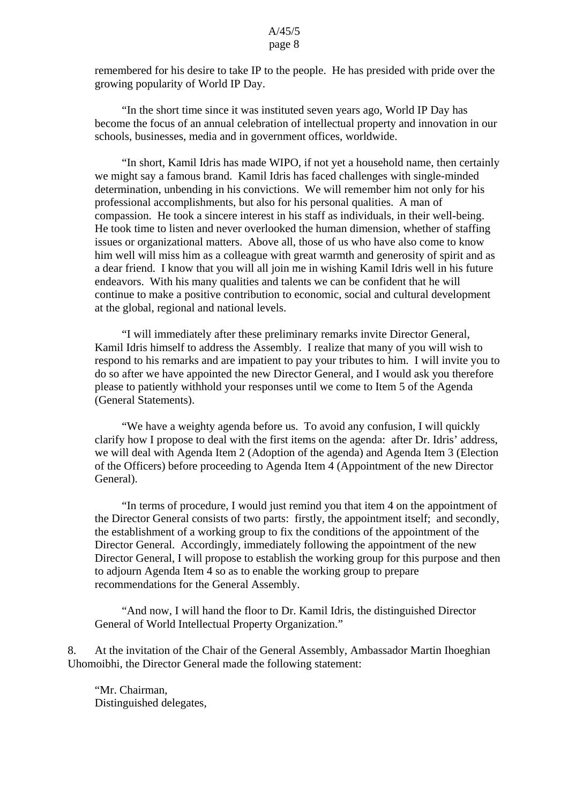remembered for his desire to take IP to the people. He has presided with pride over the growing popularity of World IP Day.

 "In the short time since it was instituted seven years ago, World IP Day has become the focus of an annual celebration of intellectual property and innovation in our schools, businesses, media and in government offices, worldwide.

 "In short, Kamil Idris has made WIPO, if not yet a household name, then certainly we might say a famous brand. Kamil Idris has faced challenges with single-minded determination, unbending in his convictions. We will remember him not only for his professional accomplishments, but also for his personal qualities. A man of compassion. He took a sincere interest in his staff as individuals, in their well-being. He took time to listen and never overlooked the human dimension, whether of staffing issues or organizational matters. Above all, those of us who have also come to know him well will miss him as a colleague with great warmth and generosity of spirit and as a dear friend. I know that you will all join me in wishing Kamil Idris well in his future endeavors. With his many qualities and talents we can be confident that he will continue to make a positive contribution to economic, social and cultural development at the global, regional and national levels.

 "I will immediately after these preliminary remarks invite Director General, Kamil Idris himself to address the Assembly. I realize that many of you will wish to respond to his remarks and are impatient to pay your tributes to him. I will invite you to do so after we have appointed the new Director General, and I would ask you therefore please to patiently withhold your responses until we come to Item 5 of the Agenda (General Statements).

 "We have a weighty agenda before us. To avoid any confusion, I will quickly clarify how I propose to deal with the first items on the agenda: after Dr. Idris' address, we will deal with Agenda Item 2 (Adoption of the agenda) and Agenda Item 3 (Election of the Officers) before proceeding to Agenda Item 4 (Appointment of the new Director General).

 "In terms of procedure, I would just remind you that item 4 on the appointment of the Director General consists of two parts: firstly, the appointment itself; and secondly, the establishment of a working group to fix the conditions of the appointment of the Director General. Accordingly, immediately following the appointment of the new Director General, I will propose to establish the working group for this purpose and then to adjourn Agenda Item 4 so as to enable the working group to prepare recommendations for the General Assembly.

 "And now, I will hand the floor to Dr. Kamil Idris, the distinguished Director General of World Intellectual Property Organization."

8. At the invitation of the Chair of the General Assembly, Ambassador Martin Ihoeghian Uhomoibhi, the Director General made the following statement:

"Mr. Chairman, Distinguished delegates,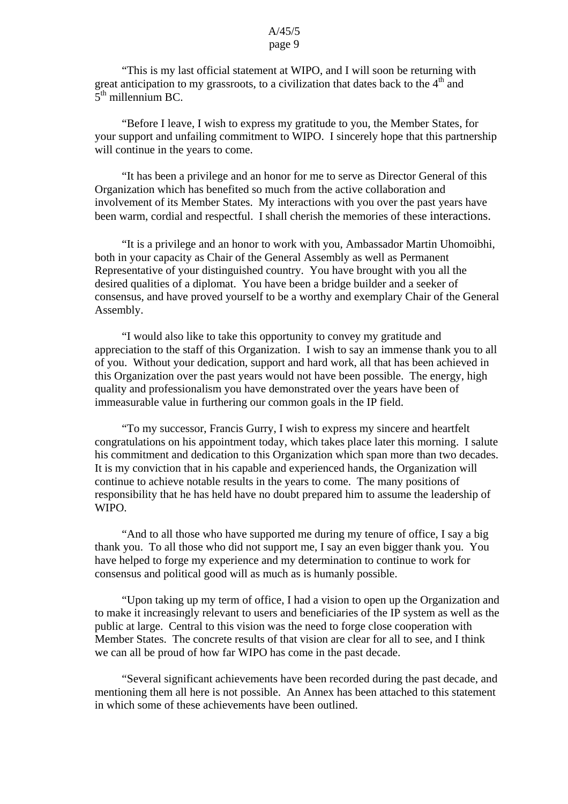"This is my last official statement at WIPO, and I will soon be returning with great anticipation to my grassroots, to a civilization that dates back to the  $4<sup>th</sup>$  and  $5<sup>th</sup>$  millennium BC.

 "Before I leave, I wish to express my gratitude to you, the Member States, for your support and unfailing commitment to WIPO. I sincerely hope that this partnership will continue in the years to come.

 "It has been a privilege and an honor for me to serve as Director General of this Organization which has benefited so much from the active collaboration and involvement of its Member States. My interactions with you over the past years have been warm, cordial and respectful. I shall cherish the memories of these interactions.

 "It is a privilege and an honor to work with you, Ambassador Martin Uhomoibhi, both in your capacity as Chair of the General Assembly as well as Permanent Representative of your distinguished country. You have brought with you all the desired qualities of a diplomat. You have been a bridge builder and a seeker of consensus, and have proved yourself to be a worthy and exemplary Chair of the General Assembly.

 "I would also like to take this opportunity to convey my gratitude and appreciation to the staff of this Organization. I wish to say an immense thank you to all of you. Without your dedication, support and hard work, all that has been achieved in this Organization over the past years would not have been possible. The energy, high quality and professionalism you have demonstrated over the years have been of immeasurable value in furthering our common goals in the IP field.

 "To my successor, Francis Gurry, I wish to express my sincere and heartfelt congratulations on his appointment today, which takes place later this morning. I salute his commitment and dedication to this Organization which span more than two decades. It is my conviction that in his capable and experienced hands, the Organization will continue to achieve notable results in the years to come. The many positions of responsibility that he has held have no doubt prepared him to assume the leadership of WIPO.

 "And to all those who have supported me during my tenure of office, I say a big thank you. To all those who did not support me, I say an even bigger thank you. You have helped to forge my experience and my determination to continue to work for consensus and political good will as much as is humanly possible.

 "Upon taking up my term of office, I had a vision to open up the Organization and to make it increasingly relevant to users and beneficiaries of the IP system as well as the public at large. Central to this vision was the need to forge close cooperation with Member States. The concrete results of that vision are clear for all to see, and I think we can all be proud of how far WIPO has come in the past decade.

 "Several significant achievements have been recorded during the past decade, and mentioning them all here is not possible. An Annex has been attached to this statement in which some of these achievements have been outlined.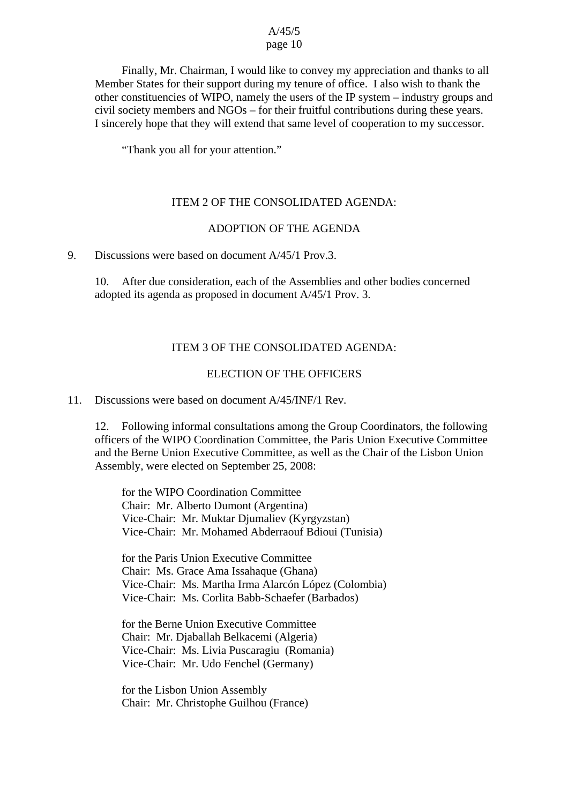Finally, Mr. Chairman, I would like to convey my appreciation and thanks to all Member States for their support during my tenure of office. I also wish to thank the other constituencies of WIPO, namely the users of the IP system – industry groups and civil society members and NGOs – for their fruitful contributions during these years. I sincerely hope that they will extend that same level of cooperation to my successor.

"Thank you all for your attention."

#### ITEM 2 OF THE CONSOLIDATED AGENDA:

#### ADOPTION OF THE AGENDA

#### 9. Discussions were based on document A/45/1 Prov.3.

10. After due consideration, each of the Assemblies and other bodies concerned adopted its agenda as proposed in document A/45/1 Prov. 3.

#### ITEM 3 OF THE CONSOLIDATED AGENDA:

## ELECTION OF THE OFFICERS

11. Discussions were based on document A/45/INF/1 Rev.

12. Following informal consultations among the Group Coordinators, the following officers of the WIPO Coordination Committee, the Paris Union Executive Committee and the Berne Union Executive Committee, as well as the Chair of the Lisbon Union Assembly, were elected on September 25, 2008:

for the WIPO Coordination Committee Chair: Mr. Alberto Dumont (Argentina) Vice-Chair: Mr. Muktar Djumaliev (Kyrgyzstan) Vice-Chair: Mr. Mohamed Abderraouf Bdioui (Tunisia)

for the Paris Union Executive Committee Chair: Ms. Grace Ama Issahaque (Ghana) Vice-Chair: Ms. Martha Irma Alarcón López (Colombia) Vice-Chair: Ms. Corlita Babb-Schaefer (Barbados)

for the Berne Union Executive Committee Chair: Mr. Djaballah Belkacemi (Algeria) Vice-Chair: Ms. Livia Puscaragiu (Romania) Vice-Chair: Mr. Udo Fenchel (Germany)

for the Lisbon Union Assembly Chair: Mr. Christophe Guilhou (France)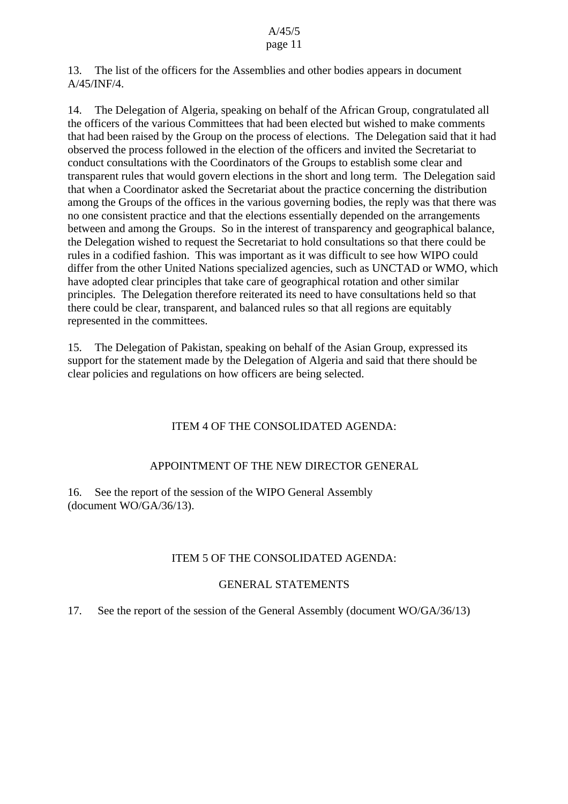13. The list of the officers for the Assemblies and other bodies appears in document A/45/INF/4.

14. The Delegation of Algeria, speaking on behalf of the African Group, congratulated all the officers of the various Committees that had been elected but wished to make comments that had been raised by the Group on the process of elections. The Delegation said that it had observed the process followed in the election of the officers and invited the Secretariat to conduct consultations with the Coordinators of the Groups to establish some clear and transparent rules that would govern elections in the short and long term. The Delegation said that when a Coordinator asked the Secretariat about the practice concerning the distribution among the Groups of the offices in the various governing bodies, the reply was that there was no one consistent practice and that the elections essentially depended on the arrangements between and among the Groups. So in the interest of transparency and geographical balance, the Delegation wished to request the Secretariat to hold consultations so that there could be rules in a codified fashion. This was important as it was difficult to see how WIPO could differ from the other United Nations specialized agencies, such as UNCTAD or WMO, which have adopted clear principles that take care of geographical rotation and other similar principles. The Delegation therefore reiterated its need to have consultations held so that there could be clear, transparent, and balanced rules so that all regions are equitably represented in the committees.

15. The Delegation of Pakistan, speaking on behalf of the Asian Group, expressed its support for the statement made by the Delegation of Algeria and said that there should be clear policies and regulations on how officers are being selected.

## ITEM 4 OF THE CONSOLIDATED AGENDA:

## APPOINTMENT OF THE NEW DIRECTOR GENERAL

16. See the report of the session of the WIPO General Assembly (document WO/GA/36/13).

## ITEM 5 OF THE CONSOLIDATED AGENDA:

## GENERAL STATEMENTS

17. See the report of the session of the General Assembly (document WO/GA/36/13)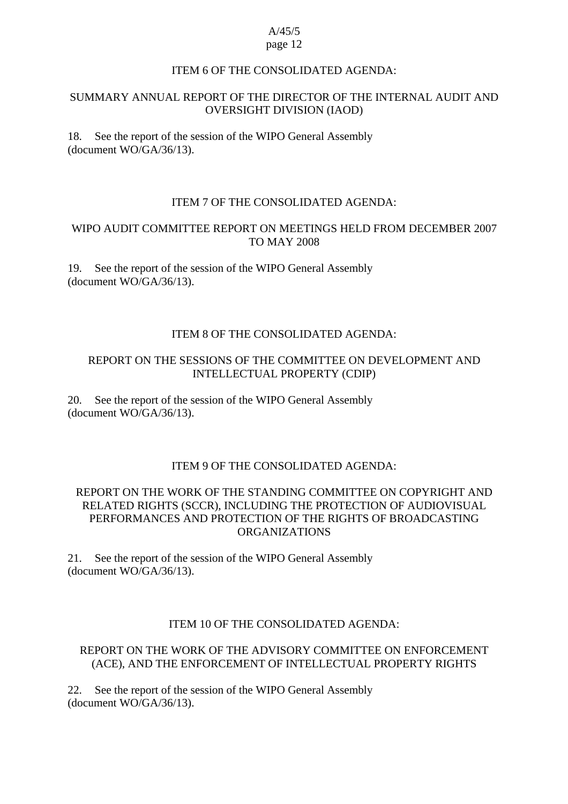#### ITEM 6 OF THE CONSOLIDATED AGENDA:

## SUMMARY ANNUAL REPORT OF THE DIRECTOR OF THE INTERNAL AUDIT AND OVERSIGHT DIVISION (IAOD)

18. See the report of the session of the WIPO General Assembly (document WO/GA/36/13).

#### ITEM 7 OF THE CONSOLIDATED AGENDA:

### WIPO AUDIT COMMITTEE REPORT ON MEETINGS HELD FROM DECEMBER 2007 TO MAY 2008

19. See the report of the session of the WIPO General Assembly (document WO/GA/36/13).

## ITEM 8 OF THE CONSOLIDATED AGENDA:

## REPORT ON THE SESSIONS OF THE COMMITTEE ON DEVELOPMENT AND INTELLECTUAL PROPERTY (CDIP)

20. See the report of the session of the WIPO General Assembly (document WO/GA/36/13).

## ITEM 9 OF THE CONSOLIDATED AGENDA:

## REPORT ON THE WORK OF THE STANDING COMMITTEE ON COPYRIGHT AND RELATED RIGHTS (SCCR), INCLUDING THE PROTECTION OF AUDIOVISUAL PERFORMANCES AND PROTECTION OF THE RIGHTS OF BROADCASTING ORGANIZATIONS

21. See the report of the session of the WIPO General Assembly (document WO/GA/36/13).

### ITEM 10 OF THE CONSOLIDATED AGENDA:

#### REPORT ON THE WORK OF THE ADVISORY COMMITTEE ON ENFORCEMENT (ACE), AND THE ENFORCEMENT OF INTELLECTUAL PROPERTY RIGHTS

22. See the report of the session of the WIPO General Assembly (document WO/GA/36/13).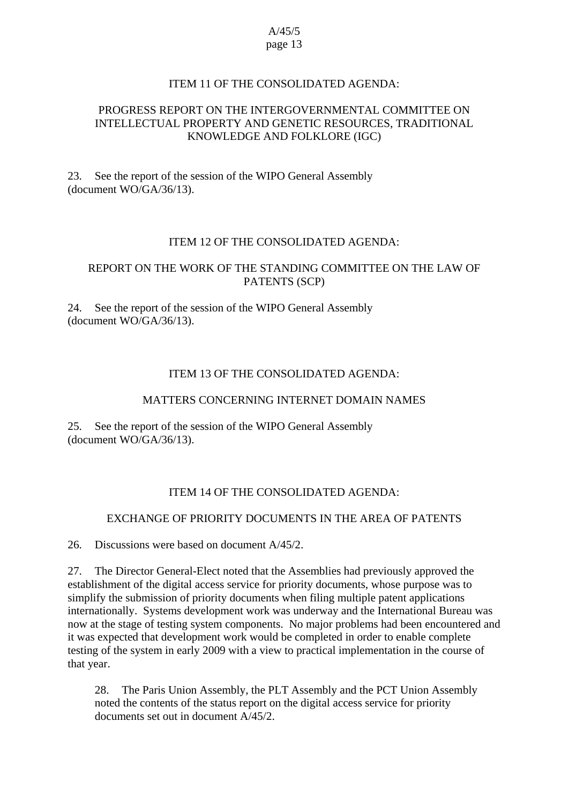## ITEM 11 OF THE CONSOLIDATED AGENDA:

## PROGRESS REPORT ON THE INTERGOVERNMENTAL COMMITTEE ON INTELLECTUAL PROPERTY AND GENETIC RESOURCES, TRADITIONAL KNOWLEDGE AND FOLKLORE (IGC)

23. See the report of the session of the WIPO General Assembly (document WO/GA/36/13).

## ITEM 12 OF THE CONSOLIDATED AGENDA:

## REPORT ON THE WORK OF THE STANDING COMMITTEE ON THE LAW OF PATENTS (SCP)

24. See the report of the session of the WIPO General Assembly (document WO/GA/36/13).

## ITEM 13 OF THE CONSOLIDATED AGENDA:

## MATTERS CONCERNING INTERNET DOMAIN NAMES

25. See the report of the session of the WIPO General Assembly (document WO/GA/36/13).

## ITEM 14 OF THE CONSOLIDATED AGENDA:

#### EXCHANGE OF PRIORITY DOCUMENTS IN THE AREA OF PATENTS

26. Discussions were based on document A/45/2.

27. The Director General-Elect noted that the Assemblies had previously approved the establishment of the digital access service for priority documents, whose purpose was to simplify the submission of priority documents when filing multiple patent applications internationally. Systems development work was underway and the International Bureau was now at the stage of testing system components. No major problems had been encountered and it was expected that development work would be completed in order to enable complete testing of the system in early 2009 with a view to practical implementation in the course of that year.

28. The Paris Union Assembly, the PLT Assembly and the PCT Union Assembly noted the contents of the status report on the digital access service for priority documents set out in document A/45/2.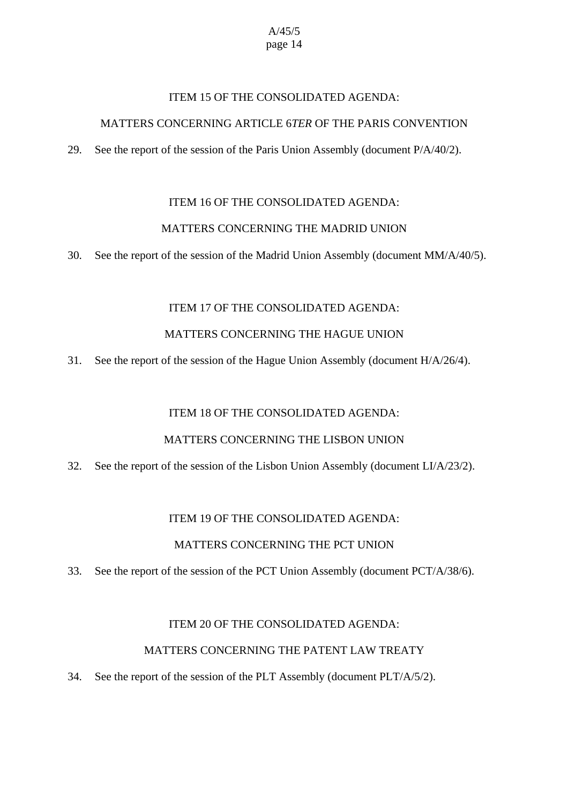## ITEM 15 OF THE CONSOLIDATED AGENDA:

## MATTERS CONCERNING ARTICLE 6*TER* OF THE PARIS CONVENTION

29. See the report of the session of the Paris Union Assembly (document P/A/40/2).

## ITEM 16 OF THE CONSOLIDATED AGENDA:

## MATTERS CONCERNING THE MADRID UNION

30. See the report of the session of the Madrid Union Assembly (document MM/A/40/5).

## ITEM 17 OF THE CONSOLIDATED AGENDA:

## MATTERS CONCERNING THE HAGUE UNION

31. See the report of the session of the Hague Union Assembly (document H/A/26/4).

#### ITEM 18 OF THE CONSOLIDATED AGENDA:

#### MATTERS CONCERNING THE LISBON UNION

32. See the report of the session of the Lisbon Union Assembly (document  $LI/A/23/2$ ).

## ITEM 19 OF THE CONSOLIDATED AGENDA:

#### MATTERS CONCERNING THE PCT UNION

33. See the report of the session of the PCT Union Assembly (document PCT/A/38/6).

#### ITEM 20 OF THE CONSOLIDATED AGENDA:

#### MATTERS CONCERNING THE PATENT LAW TREATY

## 34. See the report of the session of the PLT Assembly (document PLT/A/5/2).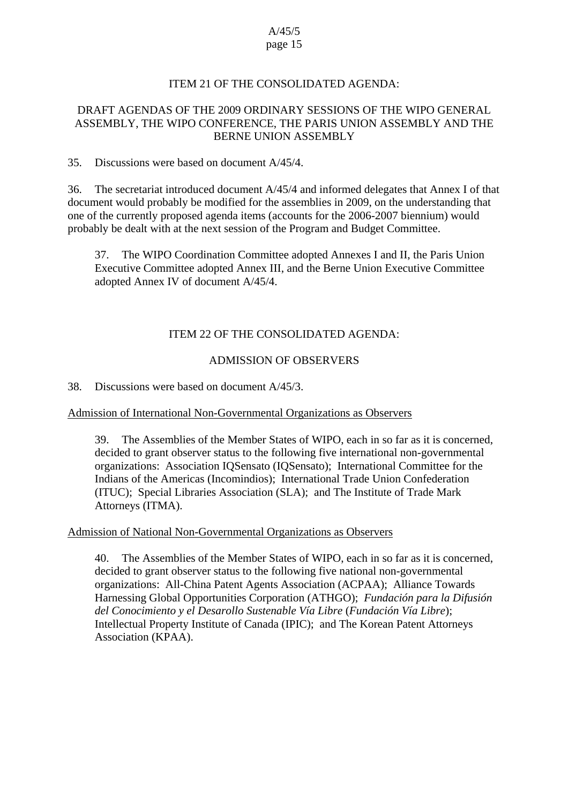## ITEM 21 OF THE CONSOLIDATED AGENDA:

## DRAFT AGENDAS OF THE 2009 ORDINARY SESSIONS OF THE WIPO GENERAL ASSEMBLY, THE WIPO CONFERENCE, THE PARIS UNION ASSEMBLY AND THE BERNE UNION ASSEMBLY

#### 35. Discussions were based on document A/45/4.

36. The secretariat introduced document A/45/4 and informed delegates that Annex I of that document would probably be modified for the assemblies in 2009, on the understanding that one of the currently proposed agenda items (accounts for the 2006-2007 biennium) would probably be dealt with at the next session of the Program and Budget Committee.

37. The WIPO Coordination Committee adopted Annexes I and II, the Paris Union Executive Committee adopted Annex III, and the Berne Union Executive Committee adopted Annex IV of document A/45/4.

## ITEM 22 OF THE CONSOLIDATED AGENDA:

### ADMISSION OF OBSERVERS

38. Discussions were based on document A/45/3.

#### Admission of International Non-Governmental Organizations as Observers

39. The Assemblies of the Member States of WIPO, each in so far as it is concerned, decided to grant observer status to the following five international non-governmental organizations: Association IQSensato (IQSensato); International Committee for the Indians of the Americas (Incomindios); International Trade Union Confederation (ITUC); Special Libraries Association (SLA); and The Institute of Trade Mark Attorneys (ITMA).

#### Admission of National Non-Governmental Organizations as Observers

40. The Assemblies of the Member States of WIPO, each in so far as it is concerned, decided to grant observer status to the following five national non-governmental organizations: All-China Patent Agents Association (ACPAA); Alliance Towards Harnessing Global Opportunities Corporation (ATHGO); *Fundación para la Difusión del Conocimiento y el Desarollo Sustenable Vía Libre* (*Fundación Vía Libre*); Intellectual Property Institute of Canada (IPIC); and The Korean Patent Attorneys Association (KPAA).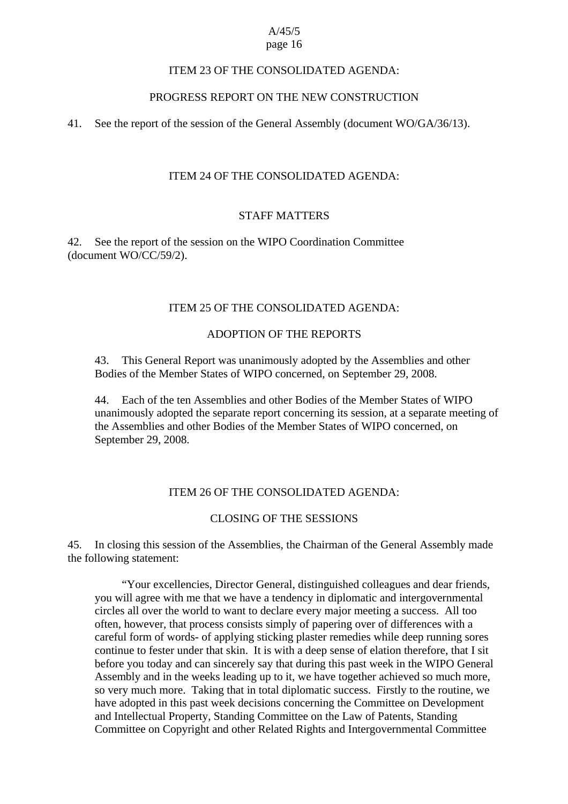## ITEM 23 OF THE CONSOLIDATED AGENDA:

## PROGRESS REPORT ON THE NEW CONSTRUCTION

41. See the report of the session of the General Assembly (document WO/GA/36/13).

## ITEM 24 OF THE CONSOLIDATED AGENDA:

#### STAFF MATTERS

42. See the report of the session on the WIPO Coordination Committee (document WO/CC/59/2).

## ITEM 25 OF THE CONSOLIDATED AGENDA:

## ADOPTION OF THE REPORTS

43. This General Report was unanimously adopted by the Assemblies and other Bodies of the Member States of WIPO concerned, on September 29, 2008.

44. Each of the ten Assemblies and other Bodies of the Member States of WIPO unanimously adopted the separate report concerning its session, at a separate meeting of the Assemblies and other Bodies of the Member States of WIPO concerned, on September 29, 2008.

## ITEM 26 OF THE CONSOLIDATED AGENDA:

#### CLOSING OF THE SESSIONS

45. In closing this session of the Assemblies, the Chairman of the General Assembly made the following statement:

 "Your excellencies, Director General, distinguished colleagues and dear friends, you will agree with me that we have a tendency in diplomatic and intergovernmental circles all over the world to want to declare every major meeting a success. All too often, however, that process consists simply of papering over of differences with a careful form of words- of applying sticking plaster remedies while deep running sores continue to fester under that skin. It is with a deep sense of elation therefore, that I sit before you today and can sincerely say that during this past week in the WIPO General Assembly and in the weeks leading up to it, we have together achieved so much more, so very much more. Taking that in total diplomatic success. Firstly to the routine, we have adopted in this past week decisions concerning the Committee on Development and Intellectual Property, Standing Committee on the Law of Patents, Standing Committee on Copyright and other Related Rights and Intergovernmental Committee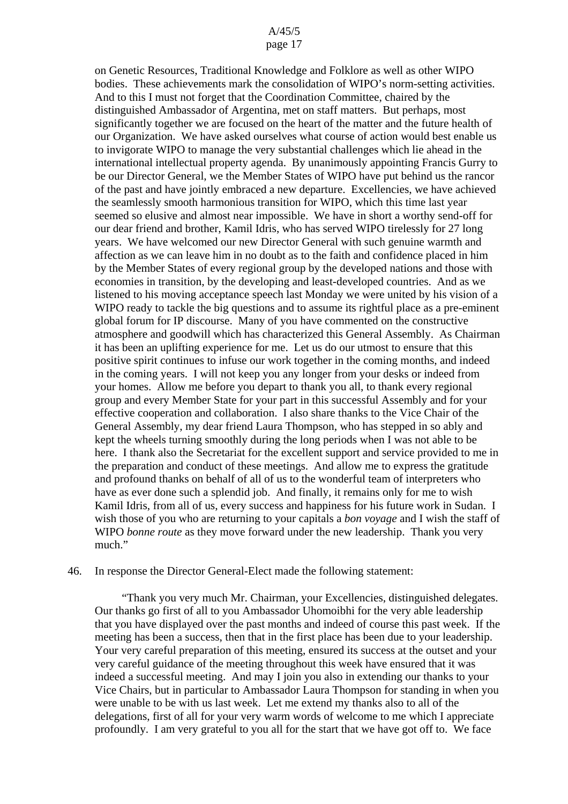## A/45/5

#### page 17

on Genetic Resources, Traditional Knowledge and Folklore as well as other WIPO bodies. These achievements mark the consolidation of WIPO's norm-setting activities. And to this I must not forget that the Coordination Committee, chaired by the distinguished Ambassador of Argentina, met on staff matters. But perhaps, most significantly together we are focused on the heart of the matter and the future health of our Organization. We have asked ourselves what course of action would best enable us to invigorate WIPO to manage the very substantial challenges which lie ahead in the international intellectual property agenda. By unanimously appointing Francis Gurry to be our Director General, we the Member States of WIPO have put behind us the rancor of the past and have jointly embraced a new departure. Excellencies, we have achieved the seamlessly smooth harmonious transition for WIPO, which this time last year seemed so elusive and almost near impossible. We have in short a worthy send-off for our dear friend and brother, Kamil Idris, who has served WIPO tirelessly for 27 long years. We have welcomed our new Director General with such genuine warmth and affection as we can leave him in no doubt as to the faith and confidence placed in him by the Member States of every regional group by the developed nations and those with economies in transition, by the developing and least-developed countries. And as we listened to his moving acceptance speech last Monday we were united by his vision of a WIPO ready to tackle the big questions and to assume its rightful place as a pre-eminent global forum for IP discourse. Many of you have commented on the constructive atmosphere and goodwill which has characterized this General Assembly. As Chairman it has been an uplifting experience for me. Let us do our utmost to ensure that this positive spirit continues to infuse our work together in the coming months, and indeed in the coming years. I will not keep you any longer from your desks or indeed from your homes. Allow me before you depart to thank you all, to thank every regional group and every Member State for your part in this successful Assembly and for your effective cooperation and collaboration. I also share thanks to the Vice Chair of the General Assembly, my dear friend Laura Thompson, who has stepped in so ably and kept the wheels turning smoothly during the long periods when I was not able to be here. I thank also the Secretariat for the excellent support and service provided to me in the preparation and conduct of these meetings. And allow me to express the gratitude and profound thanks on behalf of all of us to the wonderful team of interpreters who have as ever done such a splendid job. And finally, it remains only for me to wish Kamil Idris, from all of us, every success and happiness for his future work in Sudan. I wish those of you who are returning to your capitals a *bon voyage* and I wish the staff of WIPO *bonne route* as they move forward under the new leadership. Thank you very much"

#### 46. In response the Director General-Elect made the following statement:

 "Thank you very much Mr. Chairman, your Excellencies, distinguished delegates. Our thanks go first of all to you Ambassador Uhomoibhi for the very able leadership that you have displayed over the past months and indeed of course this past week. If the meeting has been a success, then that in the first place has been due to your leadership. Your very careful preparation of this meeting, ensured its success at the outset and your very careful guidance of the meeting throughout this week have ensured that it was indeed a successful meeting. And may I join you also in extending our thanks to your Vice Chairs, but in particular to Ambassador Laura Thompson for standing in when you were unable to be with us last week. Let me extend my thanks also to all of the delegations, first of all for your very warm words of welcome to me which I appreciate profoundly. I am very grateful to you all for the start that we have got off to. We face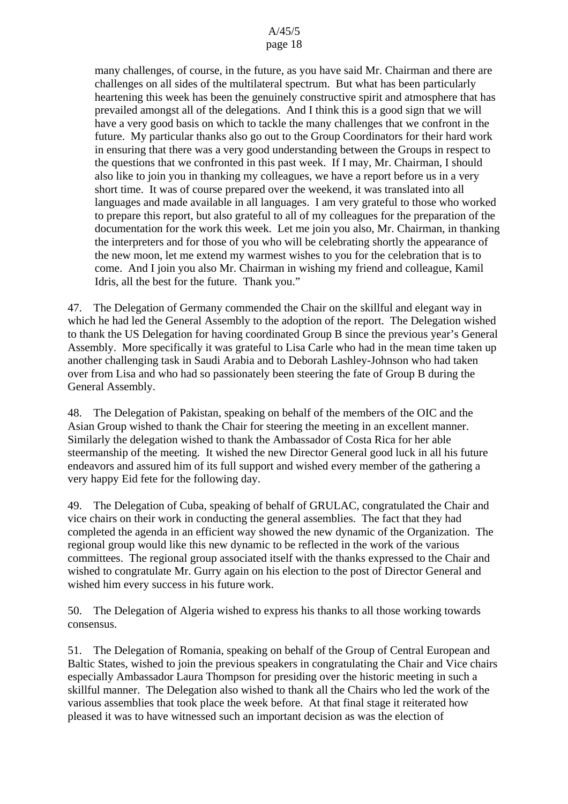many challenges, of course, in the future, as you have said Mr. Chairman and there are challenges on all sides of the multilateral spectrum. But what has been particularly heartening this week has been the genuinely constructive spirit and atmosphere that has prevailed amongst all of the delegations. And I think this is a good sign that we will have a very good basis on which to tackle the many challenges that we confront in the future. My particular thanks also go out to the Group Coordinators for their hard work in ensuring that there was a very good understanding between the Groups in respect to the questions that we confronted in this past week. If I may, Mr. Chairman, I should also like to join you in thanking my colleagues, we have a report before us in a very short time. It was of course prepared over the weekend, it was translated into all languages and made available in all languages. I am very grateful to those who worked to prepare this report, but also grateful to all of my colleagues for the preparation of the documentation for the work this week. Let me join you also, Mr. Chairman, in thanking the interpreters and for those of you who will be celebrating shortly the appearance of the new moon, let me extend my warmest wishes to you for the celebration that is to come. And I join you also Mr. Chairman in wishing my friend and colleague, Kamil Idris, all the best for the future. Thank you."

47. The Delegation of Germany commended the Chair on the skillful and elegant way in which he had led the General Assembly to the adoption of the report. The Delegation wished to thank the US Delegation for having coordinated Group B since the previous year's General Assembly. More specifically it was grateful to Lisa Carle who had in the mean time taken up another challenging task in Saudi Arabia and to Deborah Lashley-Johnson who had taken over from Lisa and who had so passionately been steering the fate of Group B during the General Assembly.

48. The Delegation of Pakistan, speaking on behalf of the members of the OIC and the Asian Group wished to thank the Chair for steering the meeting in an excellent manner. Similarly the delegation wished to thank the Ambassador of Costa Rica for her able steermanship of the meeting. It wished the new Director General good luck in all his future endeavors and assured him of its full support and wished every member of the gathering a very happy Eid fete for the following day.

49. The Delegation of Cuba, speaking of behalf of GRULAC, congratulated the Chair and vice chairs on their work in conducting the general assemblies. The fact that they had completed the agenda in an efficient way showed the new dynamic of the Organization. The regional group would like this new dynamic to be reflected in the work of the various committees. The regional group associated itself with the thanks expressed to the Chair and wished to congratulate Mr. Gurry again on his election to the post of Director General and wished him every success in his future work.

50. The Delegation of Algeria wished to express his thanks to all those working towards consensus.

51. The Delegation of Romania, speaking on behalf of the Group of Central European and Baltic States, wished to join the previous speakers in congratulating the Chair and Vice chairs especially Ambassador Laura Thompson for presiding over the historic meeting in such a skillful manner. The Delegation also wished to thank all the Chairs who led the work of the various assemblies that took place the week before. At that final stage it reiterated how pleased it was to have witnessed such an important decision as was the election of